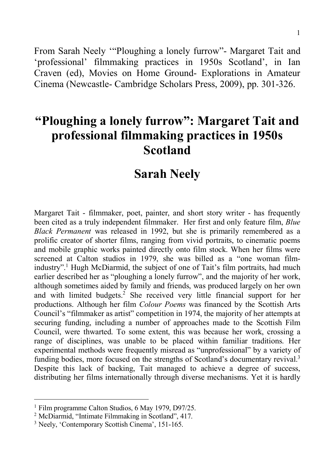From Sarah Neely '"Ploughing a lonely furrow"- Margaret Tait and 'professional' filmmaking practices in 1950s Scotland', in Ian Craven (ed), Movies on Home Ground- Explorations in Amateur Cinema (Newcastle- Cambridge Scholars Press, 2009), pp. 301-326.

# **"Ploughing a lonely furrow": Margaret Tait and professional filmmaking practices in 1950s Scotland**

## **Sarah Neely**

Margaret Tait - filmmaker, poet, painter, and short story writer - has frequently been cited as a truly independent filmmaker. Her first and only feature film, *Blue Black Permanent* was released in 1992, but she is primarily remembered as a prolific creator of shorter films, ranging from vivid portraits, to cinematic poems and mobile graphic works painted directly onto film stock. When her films were screened at Calton studios in 1979, she was billed as a "one woman filmindustry". <sup>1</sup> Hugh McDiarmid, the subject of one of Tait's film portraits, had much earlier described her as "ploughing a lonely furrow", and the majority of her work, although sometimes aided by family and friends, was produced largely on her own and with limited budgets.<sup>2</sup> She received very little financial support for her productions. Although her film *Colour Poems* was financed by the Scottish Arts Council's "filmmaker as artist" competition in 1974, the majority of her attempts at securing funding, including a number of approaches made to the Scottish Film Council, were thwarted. To some extent, this was because her work, crossing a range of disciplines, was unable to be placed within familiar traditions. Her experimental methods were frequently misread as "unprofessional" by a variety of funding bodies, more focused on the strengths of Scotland's documentary revival.<sup>3</sup> Despite this lack of backing, Tait managed to achieve a degree of success, distributing her films internationally through diverse mechanisms. Yet it is hardly

 <sup>1</sup> Film programme Calton Studios, 6 May 1979, D97/25.

<sup>2</sup> McDiarmid, "Intimate Filmmaking in Scotland", 417.

<sup>3</sup> Neely, 'Contemporary Scottish Cinema', 151-165.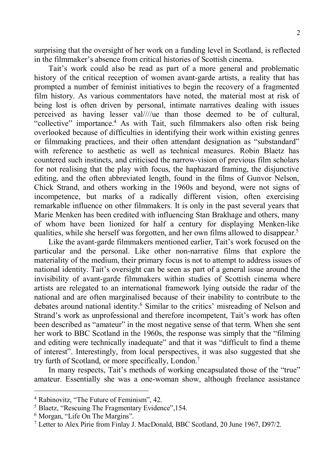surprising that the oversight of her work on a funding level in Scotland, is reflected in the filmmaker's absence from critical histories of Scottish cinema.

Tait's work could also be read as part of a more general and problematic history of the critical reception of women avant-garde artists, a reality that has prompted a number of feminist initiatives to begin the recovery of a fragmented film history. As various commentators have noted, the material most at risk of being lost is often driven by personal, intimate narratives dealing with issues perceived as having lesser val////ue than those deemed to be of cultural, "collective" importance.4 As with Tait, such filmmakers also often risk being overlooked because of difficulties in identifying their work within existing genres or filmmaking practices, and their often attendant designation as "substandard" with reference to aesthetic as well as technical measures. Robin Blaetz has countered such instincts, and criticised the narrow-vision of previous film scholars for not realising that the play with focus, the haphazard framing, the disjunctive editing, and the often abbreviated length, found in the films of Gunvor Nelson, Chick Strand, and others working in the 1960s and beyond, were not signs of incompetence, but marks of a radically different vision, often exercising remarkable influence on other filmmakers. It is only in the past several years that Marie Menken has been credited with influencing Stan Brakhage and others, many of whom have been lionized for half a century for displaying Menken-like qualities, while she herself was forgotten, and her own films allowed to disappear.5

Like the avant-garde filmmakers mentioned earlier, Tait's work focused on the particular and the personal. Like other non-narrative films that explore the materiality of the medium, their primary focus is not to attempt to address issues of national identity. Tait's oversight can be seen as part of a general issue around the invisibility of avant-garde filmmakers within studies of Scottish cinema where artists are relegated to an international framework lying outside the radar of the national and are often marginalised because of their inability to contribute to the debates around national identity.<sup>6</sup> Similar to the critics' misreading of Nelson and Strand's work as unprofessional and therefore incompetent, Tait's work has often been described as "amateur" in the most negative sense of that term. When she sent her work to BBC Scotland in the 1960s, the response was simply that the "filming and editing were technically inadequate" and that it was "difficult to find a theme of interest". Interestingly, from local perspectives, it was also suggested that she try furth of Scotland, or more specifically, London.7

In many respects, Tait's methods of working encapsulated those of the "true" amateur. Essentially she was a one-woman show, although freelance assistance

 <sup>4</sup> Rabinovitz, "The Future of Feminism", 42.

<sup>5</sup> Blaetz, "Rescuing The Fragmentary Evidence",154.

<sup>6</sup> Morgan, "Life On The Margins".

<sup>7</sup> Letter to Alex Pirie from Finlay J. MacDonald, BBC Scotland, 20 June 1967, D97/2.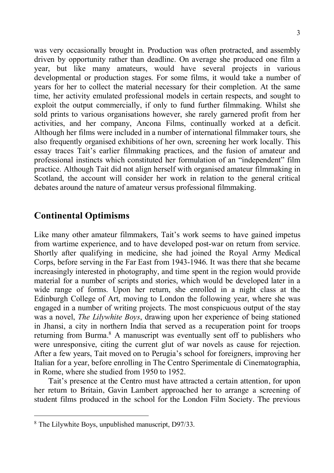was very occasionally brought in. Production was often protracted, and assembly driven by opportunity rather than deadline. On average she produced one film a year, but like many amateurs, would have several projects in various developmental or production stages. For some films, it would take a number of years for her to collect the material necessary for their completion. At the same time, her activity emulated professional models in certain respects, and sought to exploit the output commercially, if only to fund further filmmaking. Whilst she sold prints to various organisations however, she rarely garnered profit from her activities, and her company, Ancona Films, continually worked at a deficit. Although her films were included in a number of international filmmaker tours, she also frequently organised exhibitions of her own, screening her work locally. This essay traces Tait's earlier filmmaking practices, and the fusion of amateur and professional instincts which constituted her formulation of an "independent" film practice. Although Tait did not align herself with organised amateur filmmaking in Scotland, the account will consider her work in relation to the general critical debates around the nature of amateur versus professional filmmaking.

## **Continental Optimisms**

Like many other amateur filmmakers, Tait's work seems to have gained impetus from wartime experience, and to have developed post-war on return from service. Shortly after qualifying in medicine, she had joined the Royal Army Medical Corps, before serving in the Far East from 1943-1946. It was there that she became increasingly interested in photography, and time spent in the region would provide material for a number of scripts and stories, which would be developed later in a wide range of forms. Upon her return, she enrolled in a night class at the Edinburgh College of Art, moving to London the following year, where she was engaged in a number of writing projects. The most conspicuous output of the stay was a novel, *The Lilywhite Boys*, drawing upon her experience of being stationed in Jhansi, a city in northern India that served as a recuperation point for troops returning from Burma.<sup>8</sup> A manuscript was eventually sent off to publishers who were unresponsive, citing the current glut of war novels as cause for rejection. After a few years, Tait moved on to Perugia's school for foreigners, improving her Italian for a year, before enrolling in The Centro Sperimentale di Cinematographia, in Rome, where she studied from 1950 to 1952.

Tait's presence at the Centro must have attracted a certain attention, for upon her return to Britain, Gavin Lambert approached her to arrange a screening of student films produced in the school for the London Film Society. The previous

 <sup>8</sup> The Lilywhite Boys, unpublished manuscript, D97/33.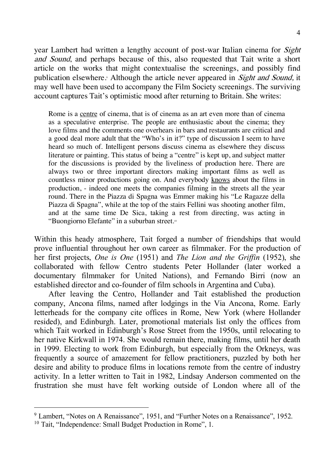year Lambert had written a lengthy account of post-war Italian cinema for *Sight* and Sound, and perhaps because of this, also requested that Tait write a short article on the works that might contextualise the screenings, and possibly find publication elsewhere. Although the article never appeared in *Sight and Sound*, it may well have been used to accompany the Film Society screenings. The surviving account captures Tait's optimistic mood after returning to Britain. She writes:

Rome is a centre of cinema, that is of cinema as an art even more than of cinema as a speculative enterprise. The people are enthusiastic about the cinema; they love films and the comments one overhears in bars and restaurants are critical and a good deal more adult that the "Who's in it?" type of discussion I seem to have heard so much of. Intelligent persons discuss cinema as elsewhere they discuss literature or painting. This status of being a "centre" is kept up, and subject matter for the discussions is provided by the liveliness of production here. There are always two or three important directors making important films as well as countless minor productions going on. And everybody knows about the films in production, - indeed one meets the companies filming in the streets all the year round. There in the Piazza di Spagna was Emmer making his "Le Ragazze della Piazza di Spagna", while at the top of the stairs Fellini was shooting another film, and at the same time De Sica, taking a rest from directing, was acting in "Buongiorno Elefante" in a suburban street.<sup>10</sup>

Within this heady atmosphere, Tait forged a number of friendships that would prove influential throughout her own career as filmmaker. For the production of her first projects, *One is One* (1951) and *The Lion and the Griffin* (1952), she collaborated with fellow Centro students Peter Hollander (later worked a documentary filmmaker for United Nations), and Fernando Birri (now an established director and co-founder of film schools in Argentina and Cuba).

After leaving the Centro, Hollander and Tait established the production company, Ancona films, named after lodgings in the Via Ancona, Rome. Early letterheads for the company cite offices in Rome, New York (where Hollander resided), and Edinburgh. Later, promotional materials list only the offices from which Tait worked in Edinburgh's Rose Street from the 1950s, until relocating to her native Kirkwall in 1974. She would remain there, making films, until her death in 1999. Electing to work from Edinburgh, but especially from the Orkneys, was frequently a source of amazement for fellow practitioners, puzzled by both her desire and ability to produce films in locations remote from the centre of industry activity. In a letter written to Tait in 1982, Lindsay Anderson commented on the frustration she must have felt working outside of London where all of the

<sup>&</sup>lt;sup>9</sup> Lambert, "Notes on A Renaissance", 1951, and "Further Notes on a Renaissance", 1952.

<sup>&</sup>lt;sup>10</sup> Tait, "Independence: Small Budget Production in Rome", 1.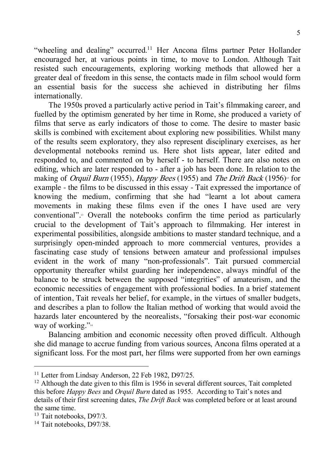"wheeling and dealing" occurred.<sup>11</sup> Her Ancona films partner Peter Hollander encouraged her, at various points in time, to move to London. Although Tait resisted such encouragements, exploring working methods that allowed her a greater deal of freedom in this sense, the contacts made in film school would form an essential basis for the success she achieved in distributing her films internationally.

The 1950s proved a particularly active period in Tait's filmmaking career, and fuelled by the optimism generated by her time in Rome, she produced a variety of films that serve as early indicators of those to come. The desire to master basic skills is combined with excitement about exploring new possibilities. Whilst many of the results seem exploratory, they also represent disciplinary exercises, as her developmental notebooks remind us. Here shot lists appear, later edited and responded to, and commented on by herself - to herself. There are also notes on editing, which are later responded to - after a job has been done. In relation to the making of Orquil Burn (1955), Happy Bees (1955) and The Drift Back (1956)<sup>12</sup> for example - the films to be discussed in this essay - Tait expressed the importance of knowing the medium, confirming that she had "learnt a lot about camera movements in making these films even if the ones I have used are very conventional".<sup>3</sup> Overall the notebooks confirm the time period as particularly crucial to the development of Tait's approach to filmmaking. Her interest in experimental possibilities, alongside ambitions to master standard technique, and a surprisingly open-minded approach to more commercial ventures, provides a fascinating case study of tensions between amateur and professional impulses evident in the work of many "non-professionals". Tait pursued commercial opportunity thereafter whilst guarding her independence, always mindful of the balance to be struck between the supposed "integrities" of amateurism, and the economic necessities of engagement with professional bodies. In a brief statement of intention, Tait reveals her belief, for example, in the virtues of smaller budgets, and describes a plan to follow the Italian method of working that would avoid the hazards later encountered by the neorealists, "forsaking their post-war economic way of working."14

Balancing ambition and economic necessity often proved difficult. Although she did manage to accrue funding from various sources, Ancona films operated at a significant loss. For the most part, her films were supported from her own earnings

<sup>&</sup>lt;sup>11</sup> Letter from Lindsay Anderson, 22 Feb 1982, D97/25.

<sup>&</sup>lt;sup>12</sup> Although the date given to this film is 1956 in several different sources, Tait completed this before *Happy Bees* and *Orquil Burn* dated as 1955. According to Tait's notes and details of their first screening dates, *The Drift Back* was completed before or at least around the same time.

<sup>13</sup> Tait notebooks, D97/3.

<sup>&</sup>lt;sup>14</sup> Tait notebooks, D97/38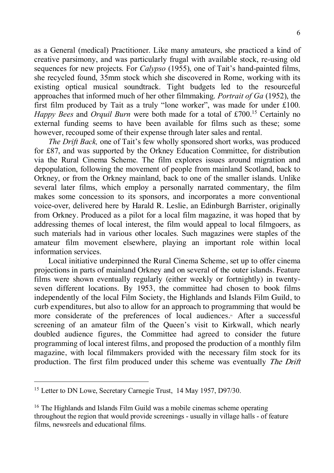as a General (medical) Practitioner. Like many amateurs, she practiced a kind of creative parsimony, and was particularly frugal with available stock, re-using old sequences for new projects. For *Calypso* (1955), one of Tait's hand-painted films, she recycled found, 35mm stock which she discovered in Rome, working with its existing optical musical soundtrack. Tight budgets led to the resourceful approaches that informed much of her other filmmaking. *Portrait of Ga* (1952), the first film produced by Tait as a truly "lone worker", was made for under £100. *Happy Bees* and *Orquil Burn* were both made for a total of £700.15 Certainly no external funding seems to have been available for films such as these; some however, recouped some of their expense through later sales and rental.

*The Drift Back,* one of Tait's few wholly sponsored short works, was produced for £87, and was supported by the Orkney Education Committee, for distribution via the Rural Cinema Scheme. The film explores issues around migration and depopulation, following the movement of people from mainland Scotland, back to Orkney, or from the Orkney mainland, back to one of the smaller islands. Unlike several later films, which employ a personally narrated commentary, the film makes some concession to its sponsors, and incorporates a more conventional voice-over, delivered here by Harald R. Leslie, an Edinburgh Barrister, originally from Orkney. Produced as a pilot for a local film magazine, it was hoped that by addressing themes of local interest, the film would appeal to local filmgoers, as such materials had in various other locales. Such magazines were staples of the amateur film movement elsewhere, playing an important role within local information services.

Local initiative underpinned the Rural Cinema Scheme, set up to offer cinema projections in parts of mainland Orkney and on several of the outer islands. Feature films were shown eventually regularly (either weekly or fortnightly) in twentyseven different locations. By 1953, the committee had chosen to book films independently of the local Film Society, the Highlands and Islands Film Guild, to curb expenditures, but also to allow for an approach to programming that would be more considerate of the preferences of local audiences.<sup>4</sup> After a successful screening of an amateur film of the Queen's visit to Kirkwall, which nearly doubled audience figures, the Committee had agreed to consider the future programming of local interest films, and proposed the production of a monthly film magazine, with local filmmakers provided with the necessary film stock for its production. The first film produced under this scheme was eventually The Drift

<sup>&</sup>lt;sup>15</sup> Letter to DN Lowe, Secretary Carnegie Trust, 14 May 1957, D97/30.

<sup>&</sup>lt;sup>16</sup> The Highlands and Islands Film Guild was a mobile cinemas scheme operating throughout the region that would provide screenings - usually in village halls - of feature films, newsreels and educational films.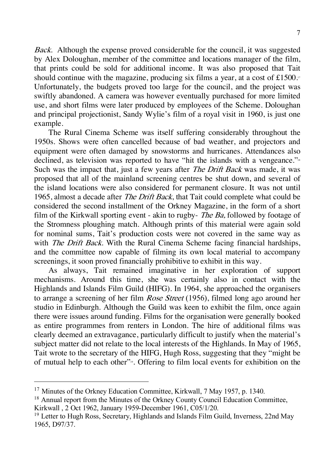Back. Although the expense proved considerable for the council, it was suggested by Alex Doloughan, member of the committee and locations manager of the film, that prints could be sold for additional income. It was also proposed that Tait should continue with the magazine, producing six films a year, at a cost of  $£1500$ .<sup>17</sup> Unfortunately, the budgets proved too large for the council, and the project was swiftly abandoned. A camera was however eventually purchased for more limited use, and short films were later produced by employees of the Scheme. Doloughan and principal projectionist, Sandy Wylie's film of a royal visit in 1960, is just one example.

The Rural Cinema Scheme was itself suffering considerably throughout the 1950s. Shows were often cancelled because of bad weather, and projectors and equipment were often damaged by snowstorms and hurricanes. Attendances also declined, as television was reported to have "hit the islands with a vengeance."<sup>18</sup> Such was the impact that, just a few years after *The Drift Back* was made, it was proposed that all of the mainland screening centres be shut down, and several of the island locations were also considered for permanent closure. It was not until 1965, almost a decade after *The Drift Back*, that Tait could complete what could be considered the second installment of the Orkney Magazine, in the form of a short film of the Kirkwall sporting event - akin to rugby- *The Ba*, followed by footage of the Stromness ploughing match. Although prints of this material were again sold for nominal sums, Tait's production costs were not covered in the same way as with *The Drift Back*. With the Rural Cinema Scheme facing financial hardships, and the committee now capable of filming its own local material to accompany screenings, it soon proved financially prohibitive to exhibit in this way.

As always, Tait remained imaginative in her exploration of support mechanisms. Around this time, she was certainly also in contact with the Highlands and Islands Film Guild (HIFG). In 1964, she approached the organisers to arrange a screening of her film *Rose Street* (1956), filmed long ago around her studio in Edinburgh. Although the Guild was keen to exhibit the film, once again there were issues around funding. Films for the organisation were generally booked as entire programmes from renters in London. The hire of additional films was clearly deemed an extravagance, particularly difficult to justify when the material's subject matter did not relate to the local interests of the Highlands. In May of 1965, Tait wrote to the secretary of the HIFG, Hugh Ross, suggesting that they "might be of mutual help to each other"19. Offering to film local events for exhibition on the

<sup>&</sup>lt;sup>17</sup> Minutes of the Orkney Education Committee, Kirkwall, 7 May 1957, p. 1340.

<sup>&</sup>lt;sup>18</sup> Annual report from the Minutes of the Orkney County Council Education Committee, Kirkwall , 2 Oct 1962, January 1959-December 1961, C05/1/20.

<sup>19</sup> Letter to Hugh Ross, Secretary, Highlands and Islands Film Guild, Inverness, 22nd May 1965, D97/37.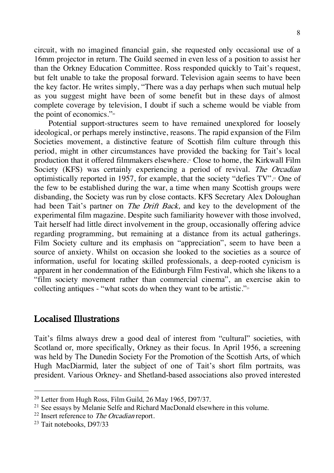circuit, with no imagined financial gain, she requested only occasional use of a 16mm projector in return. The Guild seemed in even less of a position to assist her than the Orkney Education Committee. Ross responded quickly to Tait's request, but felt unable to take the proposal forward. Television again seems to have been the key factor. He writes simply, "There was a day perhaps when such mutual help as you suggest might have been of some benefit but in these days of almost complete coverage by television, I doubt if such a scheme would be viable from the point of economics." $\frac{1}{2}$ 

Potential support-structures seem to have remained unexplored for loosely ideological, or perhaps merely instinctive, reasons. The rapid expansion of the Film Societies movement, a distinctive feature of Scottish film culture through this period, might in other circumstances have provided the backing for Tait's local production that it offered filmmakers elsewhere.21 Close to home, the Kirkwall Film Society (KFS) was certainly experiencing a period of revival. The Orcadian optimistically reported in 1957, for example, that the society "defies  $TV$ ".<sup>2</sup> One of the few to be established during the war, a time when many Scottish groups were disbanding, the Society was run by close contacts. KFS Secretary Alex Doloughan had been Tait's partner on *The Drift Back*, and key to the development of the experimental film magazine. Despite such familiarity however with those involved, Tait herself had little direct involvement in the group, occasionally offering advice regarding programming, but remaining at a distance from its actual gatherings. Film Society culture and its emphasis on "appreciation", seem to have been a source of anxiety. Whilst on occasion she looked to the societies as a source of information, useful for locating skilled professionals, a deep-rooted cynicism is apparent in her condemnation of the Edinburgh Film Festival, which she likens to a "film society movement rather than commercial cinema", an exercise akin to collecting antiques - "what scots do when they want to be artistic." $\frac{3}{2}$ 

## Localised Illustrations

Tait's films always drew a good deal of interest from "cultural" societies, with Scotland or, more specifically, Orkney as their focus. In April 1956, a screening was held by The Dunedin Society For the Promotion of the Scottish Arts, of which Hugh MacDiarmid, later the subject of one of Tait's short film portraits, was president. Various Orkney- and Shetland-based associations also proved interested

<sup>&</sup>lt;sup>20</sup> Letter from Hugh Ross, Film Guild, 26 May 1965, D97/37.

<sup>&</sup>lt;sup>21</sup> See essays by Melanie Selfe and Richard MacDonald elsewhere in this volume.

 $22$  Insert reference to *The Orcadian* report.

<sup>23</sup> Tait notebooks, D97/33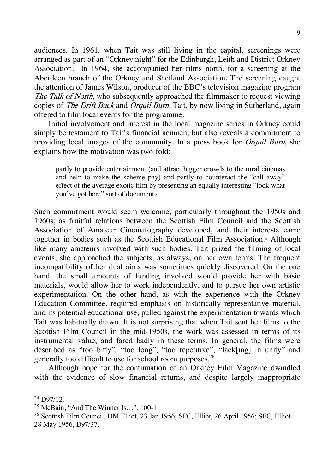audiences. In 1961, when Tait was still living in the capital, screenings were arranged as part of an "Orkney night" for the Edinburgh, Leith and District Orkney Association. In 1964, she accompanied her films north, for a screening at the Aberdeen branch of the Orkney and Shetland Association. The screening caught the attention of James Wilson, producer of the BBC's television magazine program The Talk of North, who subsequently approached the filmmaker to request viewing copies of *The Drift Back* and *Orquil Burn*. Tait, by now living in Sutherland, again offered to film local events for the programme.

Initial involvement and interest in the local magazine series in Orkney could simply be testament to Tait's financial acumen, but also reveals a commitment to providing local images of the community. In a press book for Orquil Burn, she explains how the motivation was two-fold:

partly to provide entertainment (and attract bigger crowds to the rural cinemas and help to make the scheme pay) and partly to counteract the "call away" effect of the average exotic film by presenting an equally interesting "look what you've got here" sort of document.24

Such commitment would seem welcome, particularly throughout the 1950s and 1960s, as fruitful relations between the Scottish Film Council and the Scottish Association of Amateur Cinematography developed, and their interests came together in bodies such as the Scottish Educational Film Association.<sup>3</sup> Although like many amateurs involved with such bodies, Tait prized the filming of local events, she approached the subjects, as always, on her own terms. The frequent incompatibility of her dual aims was sometimes quickly discovered. On the one hand, the small amounts of funding involved would provide her with basic materials, would allow her to work independently, and to pursue her own artistic experimentation. On the other hand, as with the experience with the Orkney Education Committee, required emphasis on historically representative material, and its potential educational use, pulled against the experimentation towards which Tait was habitually drawn. It is not surprising that when Tait sent her films to the Scottish Film Council in the mid-1950s, the work was assessed in terms of its instrumental value, and fared badly in these terms. In general, the films were described as "too bitty", "too long", "too repetitive", "lack[ing] in unity" and generally too difficult to use for school room purposes.26

Although hope for the continuation of an Orkney Film Magazine dwindled with the evidence of slow financial returns, and despite largely inappropriate

 $24$  D97/12.

<sup>25</sup> McBain, "And The Winner Is…", 100-1.

<sup>26</sup> Scottish Film Council, DM Elliot, 23 Jan 1956; SFC, Elliot, 26 April 1956; SFC, Elliot, 28 May 1956, D97/37.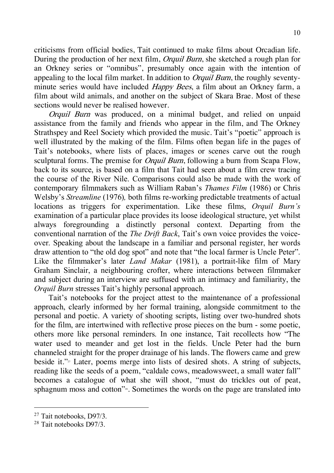criticisms from official bodies, Tait continued to make films about Orcadian life. During the production of her next film, *Orquil Burn*, she sketched a rough plan for an Orkney series or "omnibus", presumably once again with the intention of appealing to the local film market. In addition to *Orquil Burn*, the roughly seventyminute series would have included *Happy Bees*, a film about an Orkney farm, a film about wild animals, and another on the subject of Skara Brae. Most of these sections would never be realised however.

Orquil Burn was produced, on a minimal budget, and relied on unpaid assistance from the family and friends who appear in the film, and The Orkney Strathspey and Reel Society which provided the music. Tait's "poetic" approach is well illustrated by the making of the film. Films often began life in the pages of Tait's notebooks, where lists of places, images or scenes carve out the rough sculptural forms. The premise for *Orquil Burn*, following a burn from Scapa Flow, back to its source, is based on a film that Tait had seen about a film crew tracing the course of the River Nile. Comparisons could also be made with the work of contemporary filmmakers such as William Raban's *Thames Film* (1986) or Chris Welsby's *Streamline* (1976)*,* both films re-working predictable treatments of actual locations as triggers for experimentation. Like these films, *Orquil Burn's*  examination of a particular place provides its loose ideological structure, yet whilst always foregrounding a distinctly personal context. Departing from the conventional narration of the *The Drift Back*, Tait's own voice provides the voiceover. Speaking about the landscape in a familiar and personal register, her words draw attention to "the old dog spot" and note that "the local farmer is Uncle Peter". Like the filmmaker's later *Land Makar* (1981), a portrait-like film of Mary Graham Sinclair, a neighbouring crofter, where interactions between filmmaker and subject during an interview are suffused with an intimacy and familiarity, the *Orquil Burn* stresses Tait's highly personal approach.

Tait's notebooks for the project attest to the maintenance of a professional approach, clearly informed by her formal training, alongside commitment to the personal and poetic. A variety of shooting scripts, listing over two-hundred shots for the film, are intertwined with reflective prose pieces on the burn - some poetic, others more like personal reminders. In one instance, Tait recollects how "The water used to meander and get lost in the fields. Uncle Peter had the burn channeled straight for the proper drainage of his lands. The flowers came and grew beside it." $\frac{1}{2}$  Later, poems merge into lists of desired shots. A string of subjects, reading like the seeds of a poem, "caldale cows, meadowsweet, a small water fall" becomes a catalogue of what she will shoot, "must do trickles out of peat, sphagnum moss and cotton" $\mathbb{R}^3$ . Sometimes the words on the page are translated into

 <sup>27</sup> Tait notebooks, D97/3.

<sup>28</sup> Tait notebooks D97/3.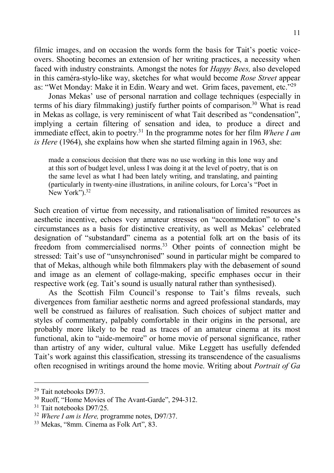filmic images, and on occasion the words form the basis for Tait's poetic voiceovers. Shooting becomes an extension of her writing practices, a necessity when faced with industry constraints. Amongst the notes for *Happy Bees,* also developed in this caméra-stylo-like way, sketches for what would become *Rose Street* appear as: "Wet Monday: Make it in Edin. Weary and wet. Grim faces, pavement, etc."<sup>29</sup>

Jonas Mekas' use of personal narration and collage techniques (especially in terms of his diary filmmaking) justify further points of comparison. <sup>30</sup> What is read in Mekas as collage, is very reminiscent of what Tait described as "condensation", implying a certain filtering of sensation and idea, to produce a direct and immediate effect, akin to poetry.31 In the programme notes for her film *Where I am is Here* (1964), she explains how when she started filming again in 1963, she:

made a conscious decision that there was no use working in this lone way and at this sort of budget level, unless I was doing it at the level of poetry, that is on the same level as what I had been lately writing, and translating, and painting (particularly in twenty-nine illustrations, in aniline colours, for Lorca's "Poet in New York $\overline{y}$ .<sup>32</sup>

Such creation of virtue from necessity, and rationalisation of limited resources as aesthetic incentive, echoes very amateur stresses on "accommodation" to one's circumstances as a basis for distinctive creativity, as well as Mekas' celebrated designation of "substandard" cinema as a potential folk art on the basis of its freedom from commercialised norms.<sup>33</sup> Other points of connection might be stressed: Tait's use of "unsynchronised" sound in particular might be compared to that of Mekas, although while both filmmakers play with the debasement of sound and image as an element of collage-making, specific emphases occur in their respective work (eg. Tait's sound is usually natural rather than synthesised).

As the Scottish Film Council's response to Tait's films reveals, such divergences from familiar aesthetic norms and agreed professional standards, may well be construed as failures of realisation. Such choices of subject matter and styles of commentary, palpably comfortable in their origins in the personal, are probably more likely to be read as traces of an amateur cinema at its most functional, akin to "aide-memoire" or home movie of personal significance, rather than artistry of any wider, cultural value. Mike Leggett has usefully defended Tait's work against this classification, stressing its transcendence of the casualisms often recognised in writings around the home movie. Writing about *Portrait of Ga*

 <sup>29</sup> Tait notebooks D97/3.

 $30$  Ruoff, "Home Movies of The Avant-Garde", 294-312.<br> $31$  Tait notebooks D97/25.

<sup>32</sup> *Where I am is Here,* programme notes, D97/37.

<sup>33</sup> Mekas, "8mm. Cinema as Folk Art", 83.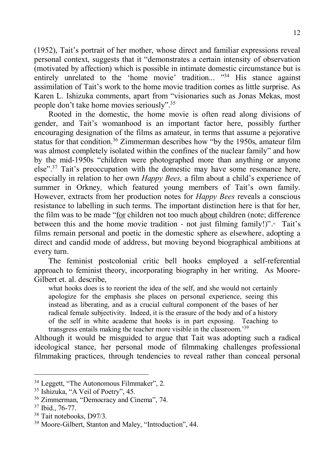(1952), Tait's portrait of her mother, whose direct and familiar expressions reveal personal context, suggests that it "demonstrates a certain intensity of observation (motivated by affection) which is possible in intimate domestic circumstance but is entirely unrelated to the 'home movie' tradition... "<sup>34</sup> His stance against assimilation of Tait's work to the home movie tradition comes as little surprise. As Karen L. Ishizuka comments, apart from "visionaries such as Jonas Mekas, most people don't take home movies seriously".35

Rooted in the domestic, the home movie is often read along divisions of gender, and Tait's womanhood is an important factor here, possibly further encouraging designation of the films as amateur, in terms that assume a pejorative status for that condition.<sup>36</sup> Zimmerman describes how "by the 1950s, amateur film was almost completely isolated within the confines of the nuclear family" and how by the mid-1950s "children were photographed more than anything or anyone else".37 Tait's preoccupation with the domestic may have some resonance here, especially in relation to her own *Happy Bees,* a film about a child's experience of summer in Orkney*,* which featured young members of Tait's own family. However, extracts from her production notes for *Happy Bees* reveals a conscious resistance to labelling in such terms. The important distinction here is that for her, the film was to be made "for children not too much about children (note; difference between this and the home movie tradition - not just filming family!)". $\cdot$  Tait's films remain personal and poetic in the domestic sphere as elsewhere, adopting a direct and candid mode of address, but moving beyond biographical ambitions at every turn.

The feminist postcolonial critic bell hooks employed a self-referential approach to feminist theory, incorporating biography in her writing. As Moore-Gilbert et. al. describe,

what hooks does is to reorient the idea of the self, and she would not certainly apologize for the emphasis she places on personal experience, seeing this instead as liberating, and as a crucial cultural component of the bases of her radical female subjectivity. Indeed, it is the erasure of the body and of a history of the self in white academe that hooks is in part exposing. Teaching to transgress entails making the teacher more visible in the classroom.'39

Although it would be misguided to argue that Tait was adopting such a radical ideological stance, her personal mode of filmmaking challenges professional filmmaking practices, through tendencies to reveal rather than conceal personal

 $34$  Leggett, "The Autonomous Filmmaker", 2.<br> $35$  Ishizuka. "A Veil of Poetry", 45.

<sup>&</sup>lt;sup>36</sup> Zimmerman, "Democracy and Cinema", 74.  $37$  Ibid., 76-77.<br><sup>38</sup> Tait notebooks, D97/3.

<sup>39</sup> Moore-Gilbert, Stanton and Maley, "Introduction", 44.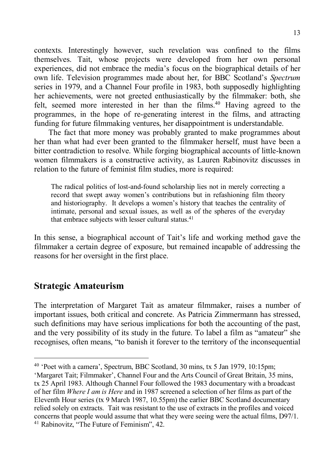contexts. Interestingly however, such revelation was confined to the films themselves. Tait, whose projects were developed from her own personal experiences, did not embrace the media's focus on the biographical details of her own life. Television programmes made about her, for BBC Scotland's *Spectrum* series in 1979, and a Channel Four profile in 1983, both supposedly highlighting her achievements, were not greeted enthusiastically by the filmmaker: both, she felt, seemed more interested in her than the films.<sup>40</sup> Having agreed to the programmes, in the hope of re-generating interest in the films, and attracting funding for future filmmaking ventures, her disappointment is understandable.

The fact that more money was probably granted to make programmes about her than what had ever been granted to the filmmaker herself, must have been a bitter contradiction to resolve. While forging biographical accounts of little-known women filmmakers is a constructive activity, as Lauren Rabinovitz discusses in relation to the future of feminist film studies, more is required:

The radical politics of lost-and-found scholarship lies not in merely correcting a record that swept away women's contributions but in refashioning film theory and historiography. It develops a women's history that teaches the centrality of intimate, personal and sexual issues, as well as of the spheres of the everyday that embrace subjects with lesser cultural status. 41

In this sense, a biographical account of Tait's life and working method gave the filmmaker a certain degree of exposure, but remained incapable of addressing the reasons for her oversight in the first place.

## **Strategic Amateurism**

The interpretation of Margaret Tait as amateur filmmaker, raises a number of important issues, both critical and concrete. As Patricia Zimmermann has stressed, such definitions may have serious implications for both the accounting of the past, and the very possibility of its study in the future. To label a film as "amateur" she recognises, often means, "to banish it forever to the territory of the inconsequential

 <sup>40</sup> 'Poet with a camera', Spectrum, BBC Scotland, 30 mins, tx 5 Jan 1979, 10:15pm;

<sup>&#</sup>x27;Margaret Tait; Filmmaker', Channel Four and the Arts Council of Great Britain, 35 mins, tx 25 April 1983. Although Channel Four followed the 1983 documentary with a broadcast of her film *Where I am is Here* and in 1987 screened a selection of her films as part of the Eleventh Hour series (tx 9 March 1987, 10.55pm) the earlier BBC Scotland documentary relied solely on extracts. Tait was resistant to the use of extracts in the profiles and voiced concerns that people would assume that what they were seeing were the actual films, D97/1. <sup>41</sup> Rabinovitz, "The Future of Feminism", 42.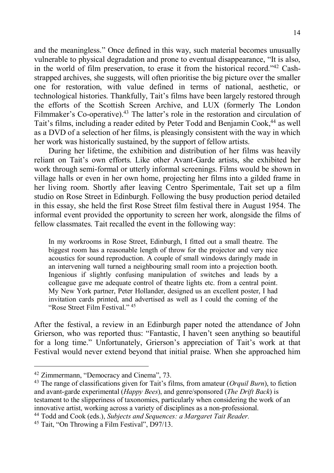and the meaningless." Once defined in this way, such material becomes unusually vulnerable to physical degradation and prone to eventual disappearance, "It is also, in the world of film preservation, to erase it from the historical record."42 Cashstrapped archives, she suggests, will often prioritise the big picture over the smaller one for restoration, with value defined in terms of national, aesthetic, or technological histories. Thankfully, Tait's films have been largely restored through the efforts of the Scottish Screen Archive, and LUX (formerly The London Filmmaker's Co-operative).<sup>43</sup> The latter's role in the restoration and circulation of Tait's films, including a reader edited by Peter Todd and Benjamin Cook, <sup>44</sup> as well as a DVD of a selection of her films, is pleasingly consistent with the way in which her work was historically sustained, by the support of fellow artists.

During her lifetime, the exhibition and distribution of her films was heavily reliant on Tait's own efforts. Like other Avant-Garde artists, she exhibited her work through semi-formal or utterly informal screenings. Films would be shown in village halls or even in her own home, projecting her films into a gilded frame in her living room. Shortly after leaving Centro Sperimentale, Tait set up a film studio on Rose Street in Edinburgh. Following the busy production period detailed in this essay, she held the first Rose Street film festival there in August 1954. The informal event provided the opportunity to screen her work, alongside the films of fellow classmates. Tait recalled the event in the following way:

In my workrooms in Rose Street, Edinburgh, I fitted out a small theatre. The biggest room has a reasonable length of throw for the projector and very nice acoustics for sound reproduction. A couple of small windows daringly made in an intervening wall turned a neighbouring small room into a projection booth. Ingenious if slightly confusing manipulation of switches and leads by a colleague gave me adequate control of theatre lights etc. from a central point. My New York partner, Peter Hollander, designed us an excellent poster, I had invitation cards printed, and advertised as well as I could the coming of the "Rose Street Film Festival." 45

After the festival, a review in an Edinburgh paper noted the attendance of John Grierson, who was reported thus: "Fantastic, I haven't seen anything so beautiful for a long time." Unfortunately, Grierson's appreciation of Tait's work at that Festival would never extend beyond that initial praise. When she approached him

<sup>42</sup> Zimmermann, "Democracy and Cinema", 73. 43 The range of classifications given for Tait's films, from amateur (*Orquil Burn*), to fiction and avant-garde experimental (*Happy Bees*), and genre/sponsored (*The Drift Back*) is testament to the slipperiness of taxonomies, particularly when considering the work of an innovative artist, working across a variety of disciplines as a non-professional.

<sup>44</sup> Todd and Cook (eds.), *Subjects and Sequences: a Margaret Tait Reader.*

<sup>45</sup> Tait, "On Throwing a Film Festival", D97/13.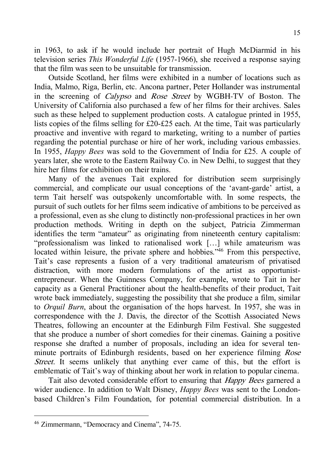in 1963, to ask if he would include her portrait of Hugh McDiarmid in his television series *This Wonderful Life* (1957-1966), she received a response saying that the film was seen to be unsuitable for transmission.

Outside Scotland, her films were exhibited in a number of locations such as India, Malmo, Riga, Berlin, etc. Ancona partner, Peter Hollander was instrumental in the screening of Calypso and Rose Street by WGBH-TV of Boston. The University of California also purchased a few of her films for their archives. Sales such as these helped to supplement production costs. A catalogue printed in 1955, lists copies of the films selling for £20-£25 each. At the time, Tait was particularly proactive and inventive with regard to marketing, writing to a number of parties regarding the potential purchase or hire of her work, including various embassies. In 1955, *Happy Bees* was sold to the Government of India for £25. A couple of years later, she wrote to the Eastern Railway Co. in New Delhi, to suggest that they hire her films for exhibition on their trains.

Many of the avenues Tait explored for distribution seem surprisingly commercial, and complicate our usual conceptions of the 'avant-garde' artist, a term Tait herself was outspokenly uncomfortable with. In some respects, the pursuit of such outlets for her films seem indicative of ambitions to be perceived as a professional, even as she clung to distinctly non-professional practices in her own production methods. Writing in depth on the subject, Patricia Zimmerman identifies the term "amateur" as originating from nineteenth century capitalism: "professionalism was linked to rationalised work […] while amateurism was located within leisure, the private sphere and hobbies.<sup>746</sup> From this perspective, Tait's case represents a fusion of a very traditional amateurism of privatised distraction, with more modern formulations of the artist as opportunistentrepreneur. When the Guinness Company, for example, wrote to Tait in her capacity as a General Practitioner about the health-benefits of their product, Tait wrote back immediately, suggesting the possibility that she produce a film, similar to *Orquil Burn*, about the organisation of the hops harvest. In 1957, she was in correspondence with the J. Davis, the director of the Scottish Associated News Theatres, following an encounter at the Edinburgh Film Festival. She suggested that she produce a number of short comedies for their cinemas. Gaining a positive response she drafted a number of proposals, including an idea for several tenminute portraits of Edinburgh residents, based on her experience filming Rose Street. It seems unlikely that anything ever came of this, but the effort is emblematic of Tait's way of thinking about her work in relation to popular cinema.

Tait also devoted considerable effort to ensuring that *Happy Bees* garnered a wider audience. In addition to Walt Disney, *Happy Bees* was sent to the Londonbased Children's Film Foundation, for potential commercial distribution. In a

 <sup>46</sup> Zimmermann, "Democracy and Cinema", 74-75.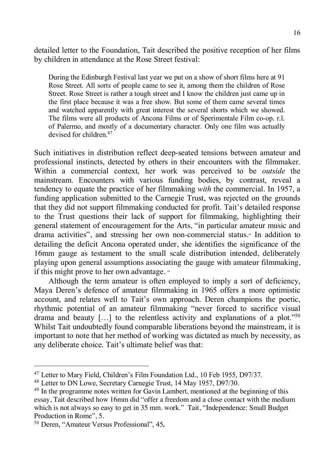detailed letter to the Foundation, Tait described the positive reception of her films by children in attendance at the Rose Street festival:

During the Edinburgh Festival last year we put on a show of short films here at 91 Rose Street. All sorts of people came to see it, among them the children of Rose Street. Rose Street is rather a tough street and I know the children just came up in the first place because it was a free show. But some of them came several times and watched apparently with great interest the several shorts which we showed. The films were all products of Ancona Films or of Sperimentale Film co-op. r.l. of Palermo, and mostly of a documentary character. Only one film was actually devised for children.<sup>47</sup>

Such initiatives in distribution reflect deep-seated tensions between amateur and professional instincts, detected by others in their encounters with the filmmaker. Within a commercial context, her work was perceived to be *outside* the mainstream. Encounters with various funding bodies, by contrast, reveal a tendency to equate the practice of her filmmaking *with* the commercial. In 1957, a funding application submitted to the Carnegie Trust, was rejected on the grounds that they did not support filmmaking conducted for profit. Tait's detailed response to the Trust questions their lack of support for filmmaking, highlighting their general statement of encouragement for the Arts, "in particular amateur music and drama activities", and stressing her own non-commercial status.<sup>48</sup> In addition to detailing the deficit Ancona operated under, she identifies the significance of the 16mm gauge as testament to the small scale distribution intended, deliberately playing upon general assumptions associating the gauge with amateur filmmaking, if this might prove to her own advantage. <sup>49</sup>

Although the term amateur is often employed to imply a sort of deficiency, Maya Deren's defence of amateur filmmaking in 1965 offers a more optimistic account, and relates well to Tait's own approach. Deren champions the poetic, rhythmic potential of an amateur filmmaking "never forced to sacrifice visual drama and beauty  $[\dots]$  to the relentless activity and explanations of a plot."<sup>50</sup> Whilst Tait undoubtedly found comparable liberations beyond the mainstream, it is important to note that her method of working was dictated as much by necessity, as any deliberate choice. Tait's ultimate belief was that:

 <sup>47</sup> Letter to Mary Field, Children's Film Foundation Ltd., 10 Feb 1955, D97/37.

<sup>48</sup> Letter to DN Lowe, Secretary Carnegie Trust, 14 May 1957, D97/30.

<sup>&</sup>lt;sup>49</sup> In the programme notes written for Gavin Lambert, mentioned at the beginning of this essay, Tait described how 16mm did "offer a freedom and a close contact with the medium which is not always so easy to get in 35 mm. work." Tait, "Independence: Small Budget Production in Rome", 5.

<sup>50</sup> Deren, "Amateur Versus Professional", 45**.**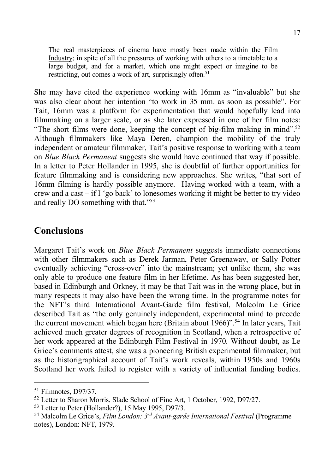The real masterpieces of cinema have mostly been made within the Film Industry; in spite of all the pressures of working with others to a timetable to a large budget, and for a market, which one might expect or imagine to be restricting, out comes a work of art, surprisingly often.<sup>51</sup>

She may have cited the experience working with 16mm as "invaluable" but she was also clear about her intention "to work in 35 mm. as soon as possible". For Tait, 16mm was a platform for experimentation that would hopefully lead into filmmaking on a larger scale, or as she later expressed in one of her film notes: "The short films were done, keeping the concept of big-film making in mind".<sup>52</sup> Although filmmakers like Maya Deren, champion the mobility of the truly independent or amateur filmmaker, Tait's positive response to working with a team on *Blue Black Permanent* suggests she would have continued that way if possible. In a letter to Peter Hollander in 1995, she is doubtful of further opportunities for feature filmmaking and is considering new approaches. She writes, "that sort of 16mm filming is hardly possible anymore. Having worked with a team, with a crew and a cast – if I 'go back' to lonesomes working it might be better to try video and really DO something with that."53

#### **Conclusions**

Margaret Tait's work on *Blue Black Permanent* suggests immediate connections with other filmmakers such as Derek Jarman, Peter Greenaway, or Sally Potter eventually achieving "cross-over" into the mainstream; yet unlike them, she was only able to produce one feature film in her lifetime. As has been suggested her, based in Edinburgh and Orkney, it may be that Tait was in the wrong place, but in many respects it may also have been the wrong time. In the programme notes for the NFT's third International Avant-Garde film festival, Malcolm Le Grice described Tait as "the only genuinely independent, experimental mind to precede the current movement which began here (Britain about 1966)".<sup>54</sup> In later years, Tait achieved much greater degrees of recognition in Scotland, when a retrospective of her work appeared at the Edinburgh Film Festival in 1970. Without doubt, as Le Grice's comments attest, she was a pioneering British experimental filmmaker, but as the historigraphical account of Tait's work reveals, within 1950s and 1960s Scotland her work failed to register with a variety of influential funding bodies.

<sup>&</sup>lt;sup>51</sup> Filmnotes, D97/37.

<sup>52</sup> Letter to Sharon Morris, Slade School of Fine Art, 1 October, 1992, D97/27.

<sup>53</sup> Letter to Peter (Hollander?), 15 May 1995, D97/3.

<sup>54</sup> Malcolm Le Grice's, *Film London: 3rd Avant-garde International Festival* (Programme notes), London: NFT, 1979.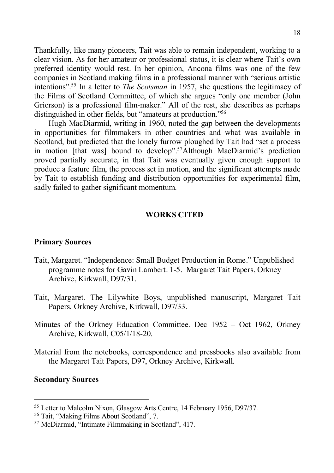Thankfully, like many pioneers, Tait was able to remain independent, working to a clear vision. As for her amateur or professional status, it is clear where Tait's own preferred identity would rest. In her opinion, Ancona films was one of the few companies in Scotland making films in a professional manner with "serious artistic intentions". <sup>55</sup> In a letter to *The Scotsman* in 1957, she questions the legitimacy of the Films of Scotland Committee, of which she argues "only one member (John Grierson) is a professional film-maker." All of the rest, she describes as perhaps distinguished in other fields, but "amateurs at production."56

Hugh MacDiarmid, writing in 1960, noted the gap between the developments in opportunities for filmmakers in other countries and what was available in Scotland, but predicted that the lonely furrow ploughed by Tait had "set a process in motion [that was] bound to develop".<sup>57</sup>Although MacDiarmid's prediction proved partially accurate, in that Tait was eventually given enough support to produce a feature film, the process set in motion, and the significant attempts made by Tait to establish funding and distribution opportunities for experimental film, sadly failed to gather significant momentum.

#### **WORKS CITED**

#### **Primary Sources**

- Tait, Margaret. "Independence: Small Budget Production in Rome." Unpublished programme notes for Gavin Lambert. 1-5. Margaret Tait Papers, Orkney Archive, Kirkwall, D97/31.
- Tait, Margaret. The Lilywhite Boys, unpublished manuscript, Margaret Tait Papers, Orkney Archive, Kirkwall, D97/33.
- Minutes of the Orkney Education Committee. Dec 1952 Oct 1962, Orkney Archive, Kirkwall, C05/1/18-20.
- Material from the notebooks, correspondence and pressbooks also available from the Margaret Tait Papers, D97, Orkney Archive, Kirkwall.

#### **Secondary Sources**

 <sup>55</sup> Letter to Malcolm Nixon, Glasgow Arts Centre, 14 February 1956, D97/37.

<sup>56</sup> Tait, "Making Films About Scotland", 7.

<sup>57</sup> McDiarmid, "Intimate Filmmaking in Scotland", 417.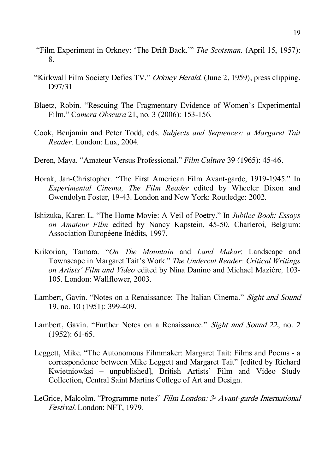- "Film Experiment in Orkney: 'The Drift Back.'" *The Scotsman.* (April 15, 1957): 8.
- "Kirkwall Film Society Defies TV." Orkney Herald. (June 2, 1959), press clipping, D97/31
- Blaetz, Robin. "Rescuing The Fragmentary Evidence of Women's Experimental Film." C*amera Obscura* 21, no. 3 (2006): 153-156.
- Cook, Benjamin and Peter Todd, eds. *Subjects and Sequences: a Margaret Tait Reader.* London: Lux, 2004*.*
- Deren, Maya. "Amateur Versus Professional." *Film Culture* 39 (1965): 45-46.
- Horak, Jan-Christopher. "The First American Film Avant-garde, 1919-1945." In *Experimental Cinema, The Film Reader* edited by Wheeler Dixon and Gwendolyn Foster, 19-43. London and New York: Routledge: 2002.
- Ishizuka, Karen L. "The Home Movie: A Veil of Poetry." In *Jubilee Book: Essays on Amateur Film* edited by Nancy Kapstein, 45-50. Charleroi, Belgium: Association Européene Inédits, 1997.
- Krikorian, Tamara. "*On The Mountain* and *Land Makar*: Landscape and Townscape in Margaret Tait's Work." *The Undercut Reader: Critical Writings on Artists' Film and Video* edited by Nina Danino and Michael Mazière*,* 103- 105. London: Wallflower, 2003.
- Lambert, Gavin. "Notes on a Renaissance: The Italian Cinema." Sight and Sound 19, no. 10 (1951): 399-409.
- Lambert, Gavin. "Further Notes on a Renaissance." Sight and Sound 22, no. 2 (1952): 61-65.
- Leggett, Mike. "The Autonomous Filmmaker: Margaret Tait: Films and Poems a correspondence between Mike Leggett and Margaret Tait" [edited by Richard Kwietniowksi – unpublished], British Artists' Film and Video Study Collection, Central Saint Martins College of Art and Design.
- LeGrice, Malcolm. "Programme notes" Film London:  $3<sup>x</sup>$  Avant-garde International Festival. London: NFT, 1979.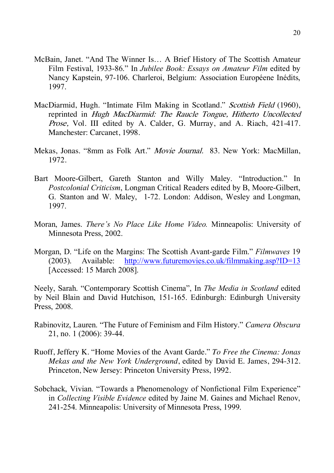- McBain, Janet. "And The Winner Is… A Brief History of The Scottish Amateur Film Festival, 1933-86." In *Jubilee Book: Essays on Amateur Film* edited by Nancy Kapstein, 97-106. Charleroi, Belgium: Association Européene Inédits, 1997.
- MacDiarmid, Hugh. "Intimate Film Making in Scotland." Scottish Field (1960), reprinted in Hugh MacDiarmid: The Raucle Tongue, Hitherto Uncollected Prose, Vol. III edited by A. Calder, G. Murray, and A. Riach, 421-417. Manchester: Carcanet, 1998.
- Mekas, Jonas. "8mm as Folk Art." *Movie Journal.* 83. New York: MacMillan, 1972.
- Bart Moore-Gilbert, Gareth Stanton and Willy Maley. "Introduction." In *Postcolonial Criticism*, Longman Critical Readers edited by B, Moore-Gilbert, G. Stanton and W. Maley, 1-72. London: Addison, Wesley and Longman, 1997.
- Moran, James. *There's No Place Like Home Video.* Minneapolis: University of Minnesota Press, 2002.
- Morgan, D. "Life on the Margins: The Scottish Avant-garde Film." *Filmwaves* 19 (2003). Available: http://www.futuremovies.co.uk/filmmaking.asp?ID=13 [Accessed: 15 March 2008].

Neely, Sarah. "Contemporary Scottish Cinema", In *The Media in Scotland* edited by Neil Blain and David Hutchison, 151-165. Edinburgh: Edinburgh University Press, 2008.

- Rabinovitz, Lauren. "The Future of Feminism and Film History." *Camera Obscura* 21, no. 1 (2006): 39-44.
- Ruoff, Jeffery K. "Home Movies of the Avant Garde." *To Free the Cinema: Jonas Mekas and the New York Underground*, edited by David E. James, 294-312. Princeton, New Jersey: Princeton University Press, 1992.
- Sobchack, Vivian. "Towards a Phenomenology of Nonfictional Film Experience" in *Collecting Visible Evidence* edited by Jaine M. Gaines and Michael Renov, 241-254. Minneapolis: University of Minnesota Press, 1999.